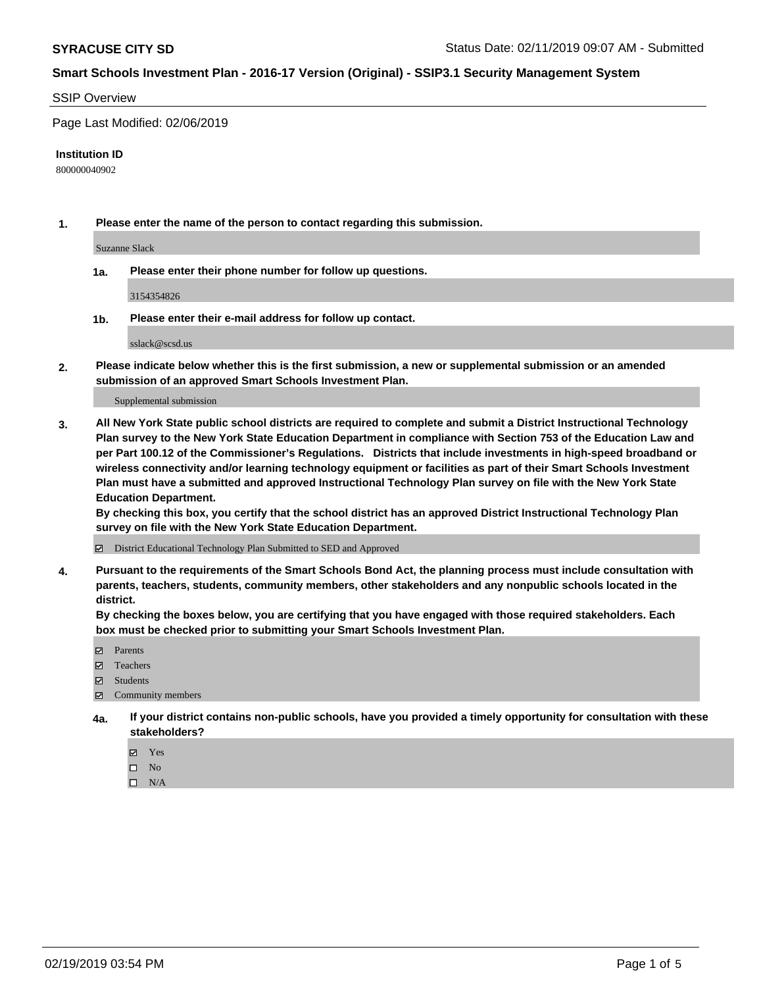#### SSIP Overview

Page Last Modified: 02/06/2019

#### **Institution ID**

800000040902

**1. Please enter the name of the person to contact regarding this submission.**

Suzanne Slack

**1a. Please enter their phone number for follow up questions.**

3154354826

**1b. Please enter their e-mail address for follow up contact.**

sslack@scsd.us

**2. Please indicate below whether this is the first submission, a new or supplemental submission or an amended submission of an approved Smart Schools Investment Plan.**

Supplemental submission

**3. All New York State public school districts are required to complete and submit a District Instructional Technology Plan survey to the New York State Education Department in compliance with Section 753 of the Education Law and per Part 100.12 of the Commissioner's Regulations. Districts that include investments in high-speed broadband or wireless connectivity and/or learning technology equipment or facilities as part of their Smart Schools Investment Plan must have a submitted and approved Instructional Technology Plan survey on file with the New York State Education Department.** 

**By checking this box, you certify that the school district has an approved District Instructional Technology Plan survey on file with the New York State Education Department.**

District Educational Technology Plan Submitted to SED and Approved

**4. Pursuant to the requirements of the Smart Schools Bond Act, the planning process must include consultation with parents, teachers, students, community members, other stakeholders and any nonpublic schools located in the district.** 

**By checking the boxes below, you are certifying that you have engaged with those required stakeholders. Each box must be checked prior to submitting your Smart Schools Investment Plan.**

- **□** Parents
- Teachers
- Students
- $\boxtimes$  Community members
- **4a. If your district contains non-public schools, have you provided a timely opportunity for consultation with these stakeholders?**
	- Yes
	- $\qquad \qquad$  No
	- $\square$  N/A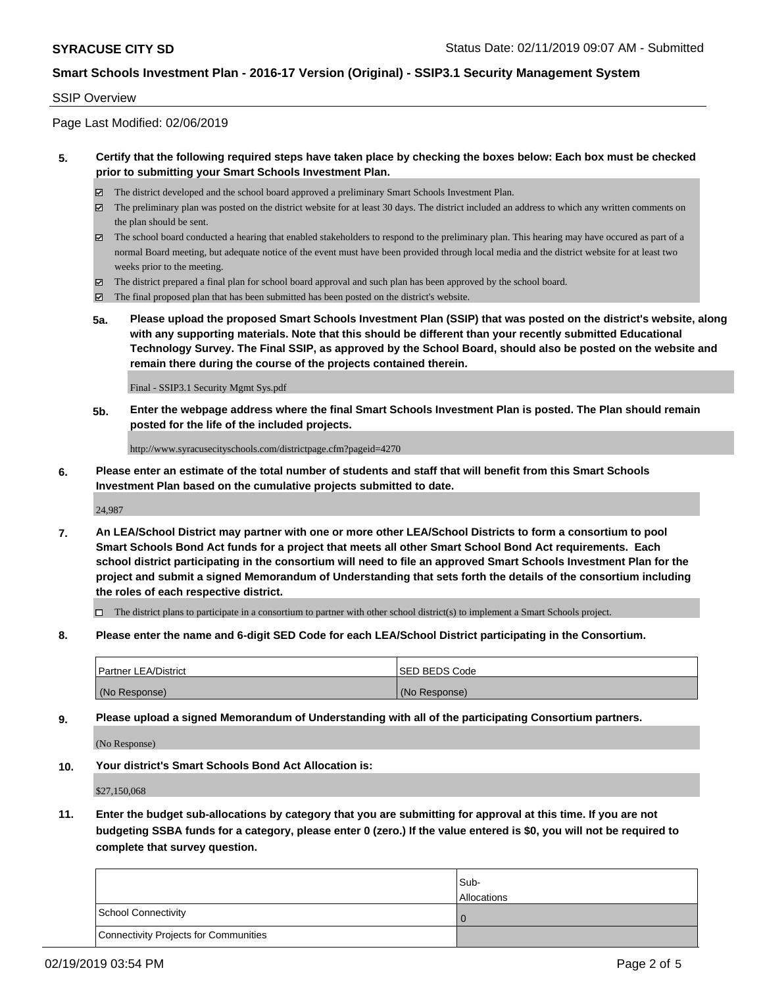### SSIP Overview

Page Last Modified: 02/06/2019

### **5. Certify that the following required steps have taken place by checking the boxes below: Each box must be checked prior to submitting your Smart Schools Investment Plan.**

- The district developed and the school board approved a preliminary Smart Schools Investment Plan.
- $\boxtimes$  The preliminary plan was posted on the district website for at least 30 days. The district included an address to which any written comments on the plan should be sent.
- $\boxtimes$  The school board conducted a hearing that enabled stakeholders to respond to the preliminary plan. This hearing may have occured as part of a normal Board meeting, but adequate notice of the event must have been provided through local media and the district website for at least two weeks prior to the meeting.
- The district prepared a final plan for school board approval and such plan has been approved by the school board.
- $\boxtimes$  The final proposed plan that has been submitted has been posted on the district's website.
- **5a. Please upload the proposed Smart Schools Investment Plan (SSIP) that was posted on the district's website, along with any supporting materials. Note that this should be different than your recently submitted Educational Technology Survey. The Final SSIP, as approved by the School Board, should also be posted on the website and remain there during the course of the projects contained therein.**

Final - SSIP3.1 Security Mgmt Sys.pdf

**5b. Enter the webpage address where the final Smart Schools Investment Plan is posted. The Plan should remain posted for the life of the included projects.**

http://www.syracusecityschools.com/districtpage.cfm?pageid=4270

**6. Please enter an estimate of the total number of students and staff that will benefit from this Smart Schools Investment Plan based on the cumulative projects submitted to date.**

24,987

**7. An LEA/School District may partner with one or more other LEA/School Districts to form a consortium to pool Smart Schools Bond Act funds for a project that meets all other Smart School Bond Act requirements. Each school district participating in the consortium will need to file an approved Smart Schools Investment Plan for the project and submit a signed Memorandum of Understanding that sets forth the details of the consortium including the roles of each respective district.**

 $\Box$  The district plans to participate in a consortium to partner with other school district(s) to implement a Smart Schools project.

**8. Please enter the name and 6-digit SED Code for each LEA/School District participating in the Consortium.**

| <b>Partner LEA/District</b> | <b>ISED BEDS Code</b> |
|-----------------------------|-----------------------|
| (No Response)               | (No Response)         |

**9. Please upload a signed Memorandum of Understanding with all of the participating Consortium partners.**

(No Response)

**10. Your district's Smart Schools Bond Act Allocation is:**

\$27,150,068

**11. Enter the budget sub-allocations by category that you are submitting for approval at this time. If you are not budgeting SSBA funds for a category, please enter 0 (zero.) If the value entered is \$0, you will not be required to complete that survey question.**

|                                              | Sub-<br><b>Allocations</b> |
|----------------------------------------------|----------------------------|
| <b>School Connectivity</b>                   |                            |
| <b>Connectivity Projects for Communities</b> |                            |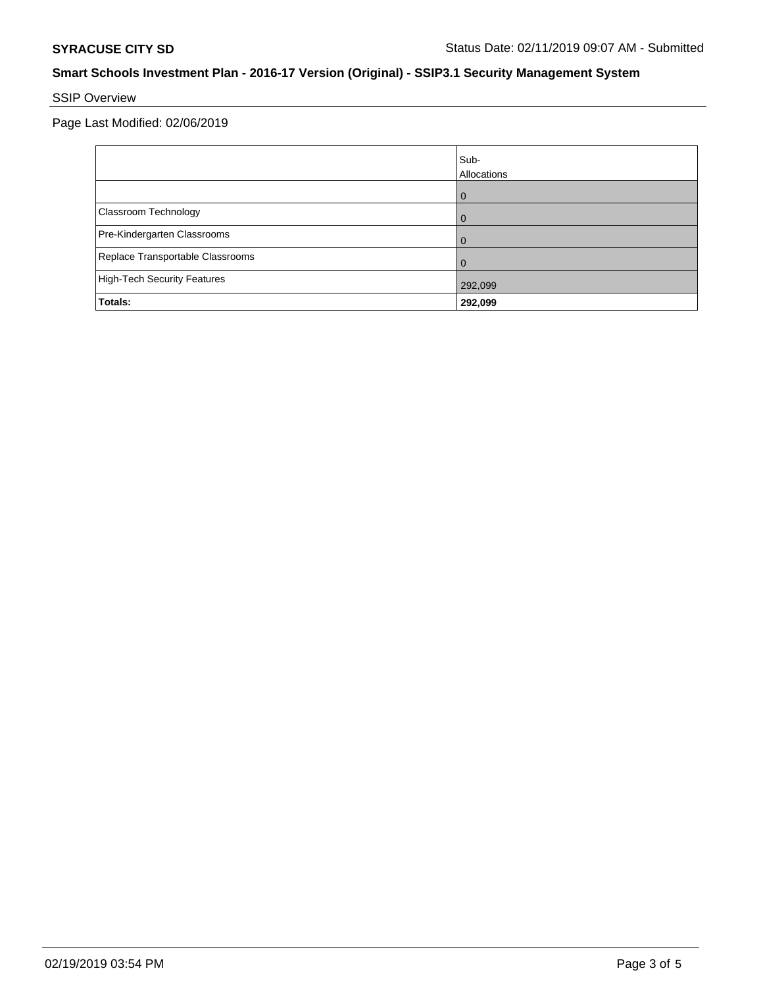# SSIP Overview

Page Last Modified: 02/06/2019

|                                    | Sub-<br>Allocations |
|------------------------------------|---------------------|
|                                    | 0                   |
| Classroom Technology               | 0                   |
| Pre-Kindergarten Classrooms        | 0                   |
| Replace Transportable Classrooms   | O                   |
| <b>High-Tech Security Features</b> | 292,099             |
| Totals:                            | 292,099             |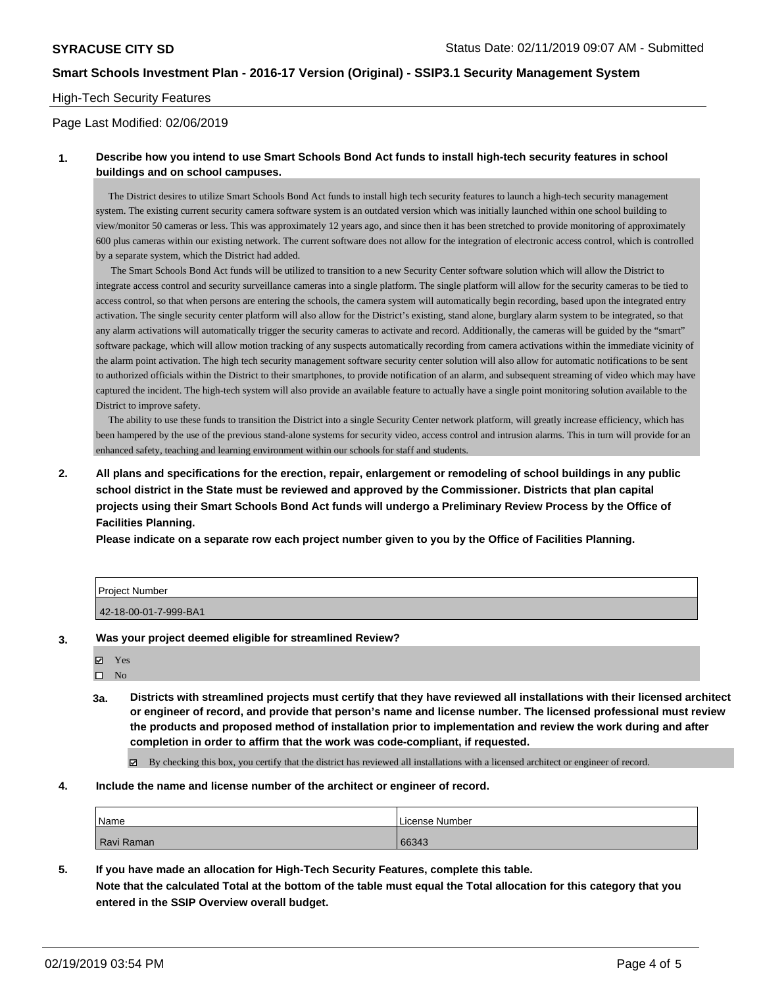### High-Tech Security Features

### Page Last Modified: 02/06/2019

### **1. Describe how you intend to use Smart Schools Bond Act funds to install high-tech security features in school buildings and on school campuses.**

 The District desires to utilize Smart Schools Bond Act funds to install high tech security features to launch a high-tech security management system. The existing current security camera software system is an outdated version which was initially launched within one school building to view/monitor 50 cameras or less. This was approximately 12 years ago, and since then it has been stretched to provide monitoring of approximately 600 plus cameras within our existing network. The current software does not allow for the integration of electronic access control, which is controlled by a separate system, which the District had added.

 The Smart Schools Bond Act funds will be utilized to transition to a new Security Center software solution which will allow the District to integrate access control and security surveillance cameras into a single platform. The single platform will allow for the security cameras to be tied to access control, so that when persons are entering the schools, the camera system will automatically begin recording, based upon the integrated entry activation. The single security center platform will also allow for the District's existing, stand alone, burglary alarm system to be integrated, so that any alarm activations will automatically trigger the security cameras to activate and record. Additionally, the cameras will be guided by the "smart" software package, which will allow motion tracking of any suspects automatically recording from camera activations within the immediate vicinity of the alarm point activation. The high tech security management software security center solution will also allow for automatic notifications to be sent to authorized officials within the District to their smartphones, to provide notification of an alarm, and subsequent streaming of video which may have captured the incident. The high-tech system will also provide an available feature to actually have a single point monitoring solution available to the District to improve safety.

 The ability to use these funds to transition the District into a single Security Center network platform, will greatly increase efficiency, which has been hampered by the use of the previous stand-alone systems for security video, access control and intrusion alarms. This in turn will provide for an enhanced safety, teaching and learning environment within our schools for staff and students.

**2. All plans and specifications for the erection, repair, enlargement or remodeling of school buildings in any public school district in the State must be reviewed and approved by the Commissioner. Districts that plan capital projects using their Smart Schools Bond Act funds will undergo a Preliminary Review Process by the Office of Facilities Planning.** 

**Please indicate on a separate row each project number given to you by the Office of Facilities Planning.**

| l Proiect Number      |  |
|-----------------------|--|
| 42-18-00-01-7-999-BA1 |  |

#### **3. Was your project deemed eligible for streamlined Review?**

- Yes
- $\square$  No
- **3a. Districts with streamlined projects must certify that they have reviewed all installations with their licensed architect or engineer of record, and provide that person's name and license number. The licensed professional must review the products and proposed method of installation prior to implementation and review the work during and after completion in order to affirm that the work was code-compliant, if requested.**

By checking this box, you certify that the district has reviewed all installations with a licensed architect or engineer of record.

**4. Include the name and license number of the architect or engineer of record.**

| Name       | License Number |
|------------|----------------|
| Ravi Raman | 66343          |

**5. If you have made an allocation for High-Tech Security Features, complete this table. Note that the calculated Total at the bottom of the table must equal the Total allocation for this category that you**

**entered in the SSIP Overview overall budget.**